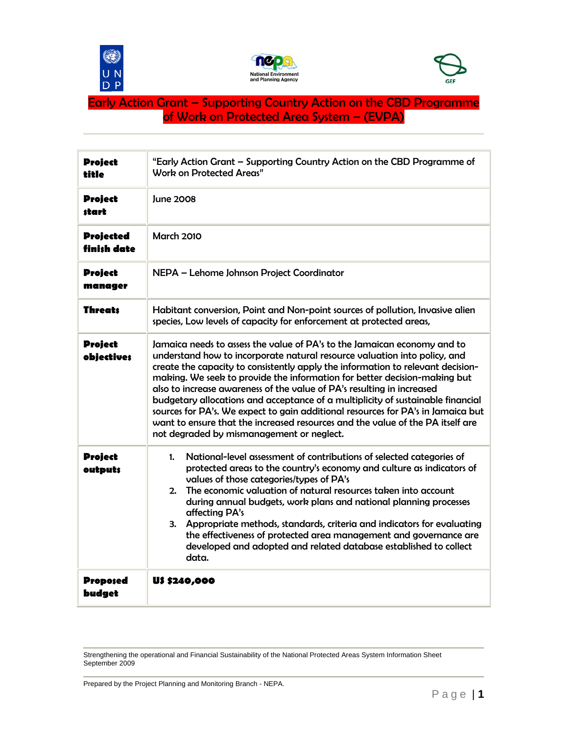





## Early Action Grant – Supporting Country Action on the CBD Programme of Work on Protected Area System – (EVPA)

| <b>Project</b><br>title         | "Early Action Grant - Supporting Country Action on the CBD Programme of<br>Work on Protected Areas"                                                                                                                                                                                                                                                                                                                                                                                                                                                                                                                                                                                                   |  |
|---------------------------------|-------------------------------------------------------------------------------------------------------------------------------------------------------------------------------------------------------------------------------------------------------------------------------------------------------------------------------------------------------------------------------------------------------------------------------------------------------------------------------------------------------------------------------------------------------------------------------------------------------------------------------------------------------------------------------------------------------|--|
| <b>Project</b><br>start         | June 2008                                                                                                                                                                                                                                                                                                                                                                                                                                                                                                                                                                                                                                                                                             |  |
| <b>Projected</b><br>finish date | <b>March 2010</b>                                                                                                                                                                                                                                                                                                                                                                                                                                                                                                                                                                                                                                                                                     |  |
| <b>Project</b><br>manager       | NEPA - Lehome Johnson Project Coordinator                                                                                                                                                                                                                                                                                                                                                                                                                                                                                                                                                                                                                                                             |  |
| <b>Threats</b>                  | Habitant conversion, Point and Non-point sources of pollution, Invasive alien<br>species, Low levels of capacity for enforcement at protected areas,                                                                                                                                                                                                                                                                                                                                                                                                                                                                                                                                                  |  |
| <b>Project</b><br>objectives    | Jamaica needs to assess the value of PA's to the Jamaican economy and to<br>understand how to incorporate natural resource valuation into policy, and<br>create the capacity to consistently apply the information to relevant decision-<br>making. We seek to provide the information for better decision-making but<br>also to increase awareness of the value of PA's resulting in increased<br>budgetary allocations and acceptance of a multiplicity of sustainable financial<br>sources for PA's. We expect to gain additional resources for PA's in Jamaica but<br>want to ensure that the increased resources and the value of the PA itself are<br>not degraded by mismanagement or neglect. |  |
| <b>Project</b><br>outputs       | National-level assessment of contributions of selected categories of<br>1.<br>protected areas to the country's economy and culture as indicators of<br>values of those categories/types of PA's<br>The economic valuation of natural resources taken into account<br>2.<br>during annual budgets, work plans and national planning processes<br>affecting PA's<br>Appropriate methods, standards, criteria and indicators for evaluating<br>3.<br>the effectiveness of protected area management and governance are<br>developed and adopted and related database established to collect<br>data.                                                                                                     |  |
| Proposed<br>budget              | U\$ \$240,000                                                                                                                                                                                                                                                                                                                                                                                                                                                                                                                                                                                                                                                                                         |  |

Strengthening the operational and Financial Sustainability of the National Protected Areas System Information Sheet September 2009